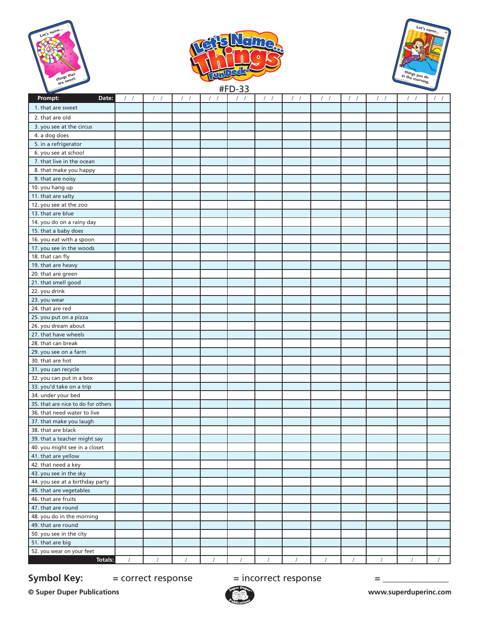





| $\sim$                             |            |            |          | ᆔ ᇰᇰ             |          |          |  |            |                          |
|------------------------------------|------------|------------|----------|------------------|----------|----------|--|------------|--------------------------|
| Date:<br>Prompt:                   | $\sqrt{2}$ | $\sqrt{2}$ | $\prime$ | $\left  \right $ |          |          |  | $\sqrt{2}$ | $\sqrt{ }$<br>$\sqrt{2}$ |
| 1. that are sweet                  |            |            |          |                  |          |          |  |            |                          |
| 2. that are old                    |            |            |          |                  |          |          |  |            |                          |
| 3. you see at the circus           |            |            |          |                  |          |          |  |            |                          |
| 4. a dog does                      |            |            |          |                  |          |          |  |            |                          |
| 5. in a refrigerator               |            |            |          |                  |          |          |  |            |                          |
| 6. you see at school               |            |            |          |                  |          |          |  |            |                          |
| 7. that live in the ocean          |            |            |          |                  |          |          |  |            |                          |
| 8. that make you happy             |            |            |          |                  |          |          |  |            |                          |
| 9. that are noisy                  |            |            |          |                  |          |          |  |            |                          |
| $\overline{10}$ . you hang up      |            |            |          |                  |          |          |  |            |                          |
| 11. that are salty                 |            |            |          |                  |          |          |  |            |                          |
| 12. you see at the zoo             |            |            |          |                  |          |          |  |            |                          |
| 13. that are blue                  |            |            |          |                  |          |          |  |            |                          |
| 14. you do on a rainy day          |            |            |          |                  |          |          |  |            |                          |
| 15. that a baby does               |            |            |          |                  |          |          |  |            |                          |
| 16. you eat with a spoon           |            |            |          |                  |          |          |  |            |                          |
| 17. you see in the woods           |            |            |          |                  |          |          |  |            |                          |
| 18. that can fly                   |            |            |          |                  |          |          |  |            |                          |
| 19. that are heavy                 |            |            |          |                  |          |          |  |            |                          |
| 20. that are green                 |            |            |          |                  |          |          |  |            |                          |
| 21. that smell good                |            |            |          |                  |          |          |  |            |                          |
| 22. you drink                      |            |            |          |                  |          |          |  |            |                          |
| 23. you wear                       |            |            |          |                  |          |          |  |            |                          |
| 24. that are red                   |            |            |          |                  |          |          |  |            |                          |
| 25. you put on a pizza             |            |            |          |                  |          |          |  |            |                          |
| 26. you dream about                |            |            |          |                  |          |          |  |            |                          |
| 27. that have wheels               |            |            |          |                  |          |          |  |            |                          |
| 28. that can break                 |            |            |          |                  |          |          |  |            |                          |
| 29. you see on a farm              |            |            |          |                  |          |          |  |            |                          |
| 30. that are hot                   |            |            |          |                  |          |          |  |            |                          |
| 31. you can recycle                |            |            |          |                  |          |          |  |            |                          |
| 32. you can put in a box           |            |            |          |                  |          |          |  |            |                          |
| 33. you'd take on a trip           |            |            |          |                  |          |          |  |            |                          |
| 34. under your bed                 |            |            |          |                  |          |          |  |            |                          |
| 35. that are nice to do for others |            |            |          |                  |          |          |  |            |                          |
| 36. that need water to live        |            |            |          |                  |          |          |  |            |                          |
| 37. that make you laugh            |            |            |          |                  |          |          |  |            |                          |
| 38. that are black                 |            |            |          |                  |          |          |  |            |                          |
| 39. that a teacher might say       |            |            |          |                  |          |          |  |            |                          |
| 40. you might see in a closet      |            |            |          |                  |          |          |  |            |                          |
| 41. that are yellow                |            |            |          |                  |          |          |  |            |                          |
| 42. that need a key                |            |            |          |                  |          |          |  |            |                          |
| 43. you see in the sky             |            |            |          |                  |          |          |  |            |                          |
| 44. you see at a birthday party    |            |            |          |                  |          |          |  |            |                          |
| 45. that are vegetables            |            |            |          |                  |          |          |  |            |                          |
| 46. that are fruits                |            |            |          |                  |          |          |  |            |                          |
| 47. that are round                 |            |            |          |                  |          |          |  |            |                          |
| 48. you do in the morning          |            |            |          |                  |          |          |  |            |                          |
| 49. that are round                 |            |            |          |                  |          |          |  |            |                          |
| 50. you see in the city            |            |            |          |                  |          |          |  |            |                          |
| 51. that are big                   |            |            |          |                  |          |          |  |            |                          |
| 52. you wear on your feet          |            |            |          |                  |          |          |  |            |                          |
| <b>Totals:</b>                     | $\prime$   | $\prime$   | $\prime$ |                  | $\prime$ | $\prime$ |  | $\prime$   | $\sqrt{ }$               |

**Symbol Key:**  $=$  correct response  $=$  incorrect response  $=$ 

**© Super Duper Publications www.superduperinc.com**